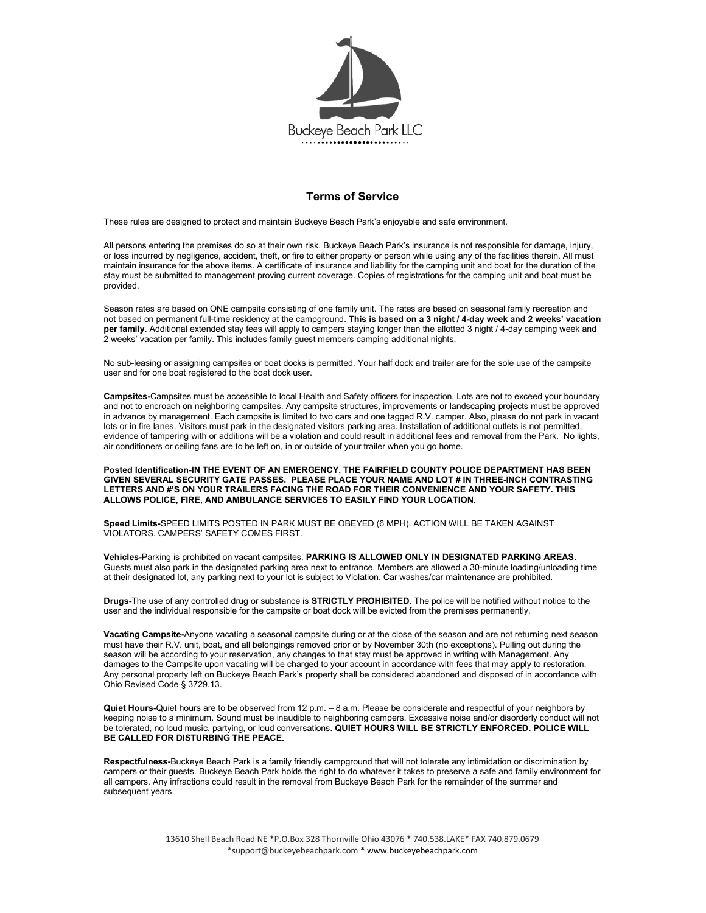

## Terms of Service

These rules are designed to protect and maintain Buckeye Beach Park's enjoyable and safe environment.

All persons entering the premises do so at their own risk. Buckeye Beach Park's insurance is not responsible for damage, injury, or loss incurred by negligence, accident, theft, or fire to either property or person while using any of the facilities therein. All must maintain insurance for the above items. A certificate of insurance and liability for the camping unit and boat for the duration of the stay must be submitted to management proving current coverage. Copies of registrations for the camping unit and boat must be provided.

Season rates are based on ONE campsite consisting of one family unit. The rates are based on seasonal family recreation and not based on permanent full-time residency at the campground. This is based on a 3 night / 4-day week and 2 weeks' vacation per family. Additional extended stay fees will apply to campers staying longer than the allotted 3 night / 4-day camping week and 2 weeks' vacation per family. This includes family guest members camping additional nights.

No sub-leasing or assigning campsites or boat docks is permitted. Your half dock and trailer are for the sole use of the campsite user and for one boat registered to the boat dock user.

Campsites-Campsites must be accessible to local Health and Safety officers for inspection. Lots are not to exceed your boundary and not to encroach on neighboring campsites. Any campsite structures, improvements or landscaping projects must be approved in advance by management. Each campsite is limited to two cars and one tagged R.V. camper. Also, please do not park in vacant lots or in fire lanes. Visitors must park in the designated visitors parking area. Installation of additional outlets is not permitted, evidence of tampering with or additions will be a violation and could result in additional fees and removal from the Park. No lights, air conditioners or ceiling fans are to be left on, in or outside of your trailer when you go home.

Posted Identification-IN THE EVENT OF AN EMERGENCY, THE FAIRFIELD COUNTY POLICE DEPARTMENT HAS BEEN GIVEN SEVERAL SECURITY GATE PASSES. PLEASE PLACE YOUR NAME AND LOT # IN THREE-INCH CONTRASTING LETTERS AND #'S ON YOUR TRAILERS FACING THE ROAD FOR THEIR CONVENIENCE AND YOUR SAFETY. THIS ALLOWS POLICE, FIRE, AND AMBULANCE SERVICES TO EASILY FIND YOUR LOCATION.

Speed Limits-SPEED LIMITS POSTED IN PARK MUST BE OBEYED (6 MPH). ACTION WILL BE TAKEN AGAINST VIOLATORS. CAMPERS' SAFETY COMES FIRST.

Vehicles-Parking is prohibited on vacant campsites. PARKING IS ALLOWED ONLY IN DESIGNATED PARKING AREAS. Guests must also park in the designated parking area next to entrance. Members are allowed a 30-minute loading/unloading time at their designated lot, any parking next to your lot is subject to Violation. Car washes/car maintenance are prohibited.

Drugs-The use of any controlled drug or substance is STRICTLY PROHIBITED. The police will be notified without notice to the user and the individual responsible for the campsite or boat dock will be evicted from the premises permanently.

Vacating Campsite-Anyone vacating a seasonal campsite during or at the close of the season and are not returning next season must have their R.V. unit, boat, and all belongings removed prior or by November 30th (no exceptions). Pulling out during the season will be according to your reservation, any changes to that stay must be approved in writing with Management. Any damages to the Campsite upon vacating will be charged to your account in accordance with fees that may apply to restoration. Any personal property left on Buckeye Beach Park's property shall be considered abandoned and disposed of in accordance with Ohio Revised Code § 3729.13.

Quiet Hours-Quiet hours are to be observed from 12 p.m. - 8 a.m. Please be considerate and respectful of your neighbors by keeping noise to a minimum. Sound must be inaudible to neighboring campers. Excessive noise and/or disorderly conduct will not be tolerated, no loud music, partying, or loud conversations. QUIET HOURS WILL BE STRICTLY ENFORCED. POLICE WILL BE CALLED FOR DISTURBING THE PEACE.

Respectfulness-Buckeye Beach Park is a family friendly campground that will not tolerate any intimidation or discrimination by campers or their guests. Buckeye Beach Park holds the right to do whatever it takes to preserve a safe and family environment for all campers. Any infractions could result in the removal from Buckeye Beach Park for the remainder of the summer and subsequent years.

> 13610 Shell Beach Road NE \*P.O.Box 328 Thornville Ohio 43076 \* 740.538.LAKE\* FAX 740.879.0679 \*support@buckeyebeachpark.com \* www.buckeyebeachpark.com